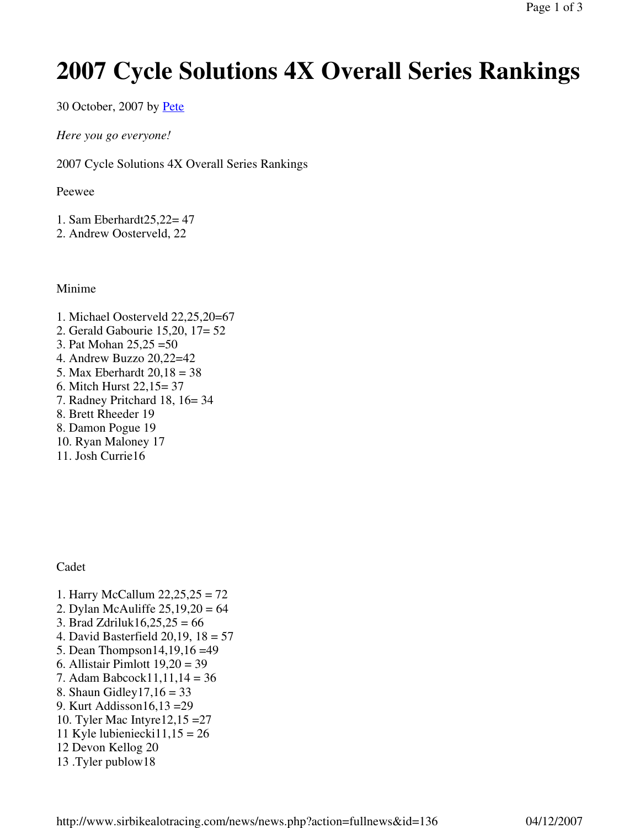## **2007 Cycle Solutions 4X Overall Series Rankings**

30 October, 2007 by Pete

*Here you go everyone!*

2007 Cycle Solutions 4X Overall Series Rankings

Peewee

- 1. Sam Eberhardt25,22= 47
- 2. Andrew Oosterveld, 22

Minime

- 1. Michael Oosterveld 22,25,20=67
- 2. Gerald Gabourie 15,20, 17= 52
- 3. Pat Mohan 25,25 =50
- 4. Andrew Buzzo 20,22=42
- 5. Max Eberhardt 20,18 = 38
- 6. Mitch Hurst 22,15= 37
- 7. Radney Pritchard 18, 16= 34
- 8. Brett Rheeder 19
- 8. Damon Pogue 19
- 10. Ryan Maloney 17
- 11. Josh Currie16

Cadet

- 1. Harry McCallum 22,25,25 = 72
- 2. Dylan McAuliffe 25,19,20 = 64
- 3. Brad Zdriluk $16,25,25 = 66$
- 4. David Basterfield 20,19, 18 = 57
- 5. Dean Thompson14,19,16 =49
- 6. Allistair Pimlott 19,20 = 39
- 7. Adam Babcock11,11,14 = 36
- 8. Shaun Gidley17,16 = 33
- 9. Kurt Addisson16,13 =29
- 10. Tyler Mac Intyre12,15 =27
- 11 Kyle lubieniecki $11,15 = 26$
- 12 Devon Kellog 20
- 13 .Tyler publow18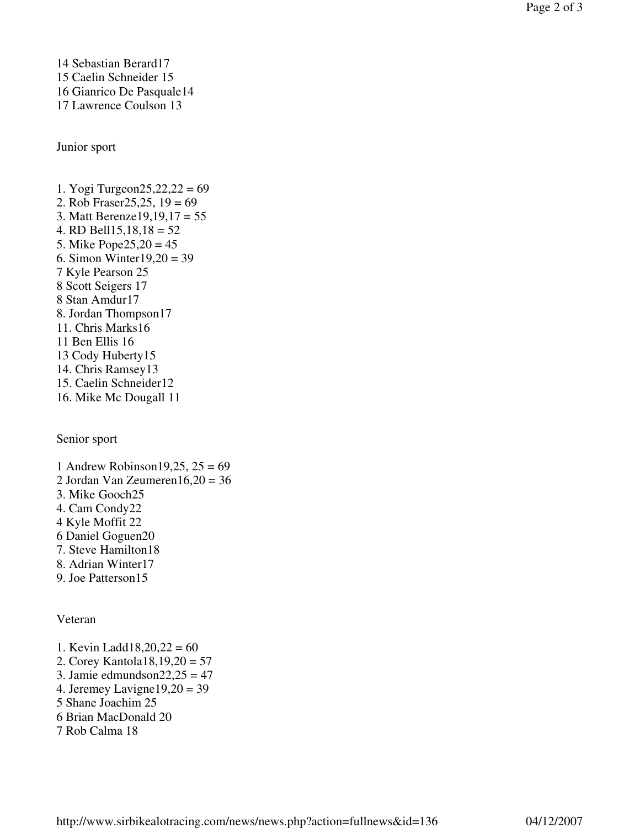14 Sebastian Berard17 15 Caelin Schneider 15 16 Gianrico De Pasquale14 17 Lawrence Coulson 13

Junior sport

1. Yogi Turgeon25,22,22 = 69 2. Rob Fraser25,25, 19 = 69 3. Matt Berenze19,19,17 = 55 4. RD Bell15,18,18 =  $52$ 5. Mike Pope25,20 = 45 6. Simon Winter19,20 = 39 7 Kyle Pearson 25 8 Scott Seigers 17 8 Stan Amdur17 8. Jordan Thompson17 11. Chris Marks16 11 Ben Ellis 16 13 Cody Huberty15 14. Chris Ramsey13 15. Caelin Schneider12 16. Mike Mc Dougall 11

Senior sport

1 Andrew Robinson  $19,25$ ,  $25 = 69$ 2 Jordan Van Zeumeren16,20 = 36 3. Mike Gooch25 4. Cam Condy22 4 Kyle Moffit 22 6 Daniel Goguen20 7. Steve Hamilton18 8. Adrian Winter17 9. Joe Patterson15

Veteran

1. Kevin Ladd18,20,22 =  $60$ 2. Corey Kantola18,19,20 = 57 3. Jamie edmundson $22,25 = 47$ 4. Jeremey Lavigne19,20 = 39 5 Shane Joachim 25 6 Brian MacDonald 20 7 Rob Calma 18